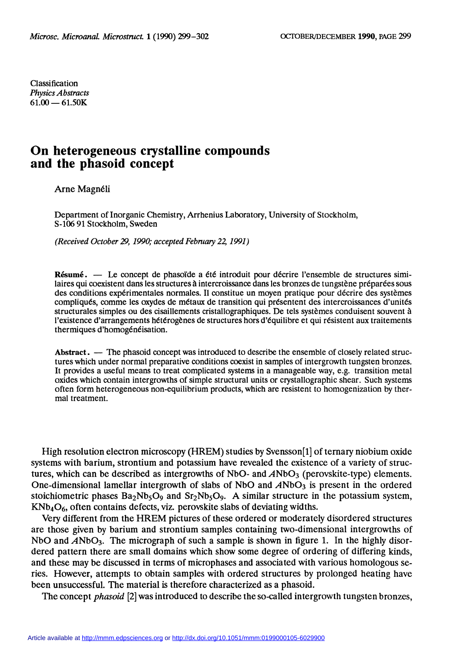Classification Physics Abstracts  $61.00 - 61.50K$ 

## On heterogeneous crystalline compounds and the phasoid concept

Arne Magnéli

Department of Inorganic Chemistry, Arrhenius Laboratory, University of Stockholm, S-106 91 Stockholm, Sweden

(Received October 29,1990; accepted February 22,1991 )

Résumé. — Le concept de phasoïde a été introduit pour décrire l'ensemble de structures similaires qui coexistent dans les structures à intercroissance dans les bronzes de tungstène préparées sous des conditions expérimentales normales. Il constitue un moyen pratique pour décrire des systèmes compliqués, comme les oxydes de métaux de transition qui présentent des intercroissances d'unités structurales simples ou des cisaillements cristallographiques. De tels systèmes conduisent souvent à l'existence d'arrangements hétérogènes de structures hors d'équilibre et qui résistent aux traitements thermiques d'homogénéisation.

Abstract. - The phasoid concept was introduced to describe the ensemble of closely related structures which under normal preparative conditions coexist in samples of intergrowth tungsten bronzes. It provides a useful means to treat complicated systems in a manageable way, e.g. transition metal oxides which contain intergrowths of simple structural units or crystallographic shear. Such systems often form heterogeneous non-equilibrium products, which are resistent to homogenization by thermal treatment.

High resolution electron microscopy (HREM) studies by Svensson[1] of ternary niobium oxide systems with barium, strontium and potassium have revealed the existence of a variety of structures, which can be described as intergrowths of NbO- and  $\ddot{A}NbO<sub>3</sub>$  (perovskite-type) elements. One-dimensional lamellar intergrowth of slabs of NbO and  $\overline{ANDO_3}$  is present in the ordered stoichiometric phases  $Ba_2Nb_5O_9$  and  $Sr_2Nb_5O_9$ . A similar structure in the potassium system,  $KNb<sub>4</sub>O<sub>6</sub>$ , often contains defects, viz. perovskite slabs of deviating widths.

Very different from the HREM pictures of these ordered or moderately disordered structures are those given by barium and strontium samples containing two-dimensional intergrowths of NbO and  $A$ NbO<sub>3</sub>. The micrograph of such a sample is shown in figure 1. In the highly disordered pattern there are small domains which show some degree of ordering of differing kinds, and these may be discussed in terms of microphases and associated with various homologous series. However, attempts to obtain samples with ordered structures by prolonged heating have been unsuccessful. The material is therefore characterized as a phasoid.

The concept *phasoid* [2] was introduced to describe the so-called intergrowth tungsten bronzes,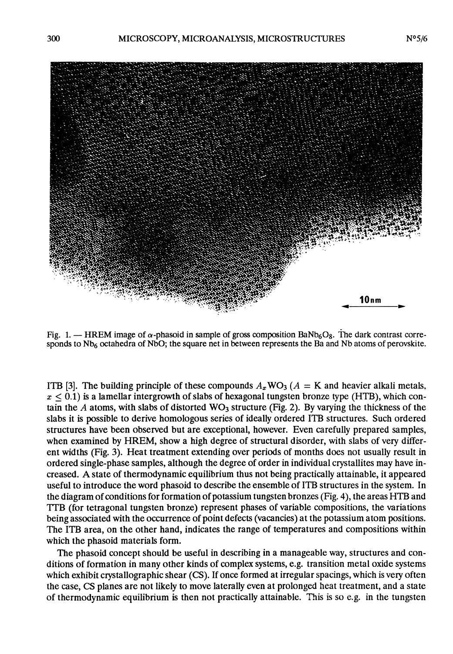

Fig. 1. - HREM image of  $\alpha$ -phasoid in sample of gross composition BaNb<sub>6</sub>O<sub>8</sub>. The dark contrast corresponds to  $Nb<sub>6</sub>$  octahedra of NbO; the square net in between represents the Ba and Nb atoms of perovskite.

ITB [3]. The building principle of these compounds  $A_x$ WO<sub>3</sub> ( $A = K$  and heavier alkali metals,  $x \leq 0.1$ ) is a lamellar intergrowth of slabs of hexagonal tungsten bronze type (HTB), which contain the A atoms, with slabs of distorted  $WO_3$  structure (Fig. 2). By varying the thickness of the slabs it is possible to derive homologous series of ideally ordered ITB structures. Such ordered structures have been observed but are exceptional, however. Even carefully prepared samples, when examined by HREM, show a high degree of structural disorder, with slabs of very different widths (Fig. 3). Heat treatment extending over periods of months does not usually result in ordered single-phase samples, although the degree of order in individual crystallites may have increased. A state of thermodynamic equilibrium thus not being practically attainable, it appeared useful to introduce the word phasoid to describe the ensemble of ITB structures in the system. In the diagram of conditions for formation of potassium tungsten bronzes (Fig. 4), the areas HTB and TTB (for tetragonal tungsten bronze) represent phases of variable compositions, the variations being associated with the occurrence of point defects (vacancies) at the potassium atom positions. The ITB area, on the other hand, indicates the range of temperatures and compositions within which the phasoid materials form.

The phasoid concept should be useful in describing in a manageable way, structures and conditions of formation in many other kinds of complex systems, e.g. transition metal oxide systems which exhibit crystallographic shear (CS). If once formed at irregular spacings, which is very often the case, CS planes are not likely to move laterally even at prolonged heat treatment, and a state of thermodynamic equilibrium is then not practically attainable. This is so e.g. in the tungsten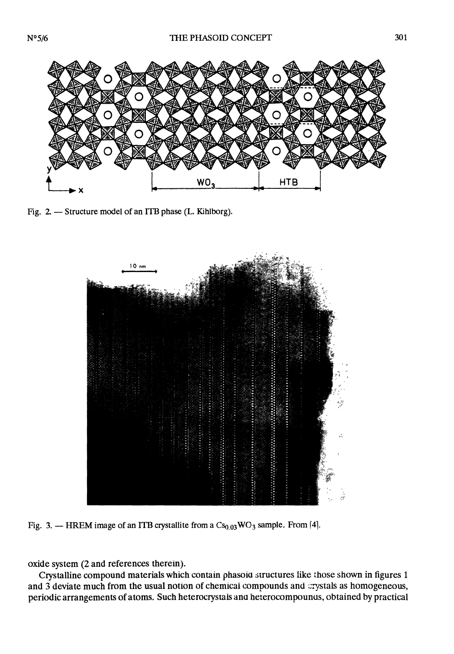

Fig. 2. - Structure model of an ITB phase (L. Kihlborg).



Fig. 3. - HREM image of an ITB crystallite from a  $Cs_{0.03}WO_3$  sample. From [4].

oxide system (2 and references therein).

Crystalline compound materials which contain phasoia structures like those shown in figures 1 and 3 deviate much from the usual notion of chemicai compounds and crystals as homogeneous, periodic arrangements of atoms. Such heterocrystals ana hererocompounus, obtained by practical